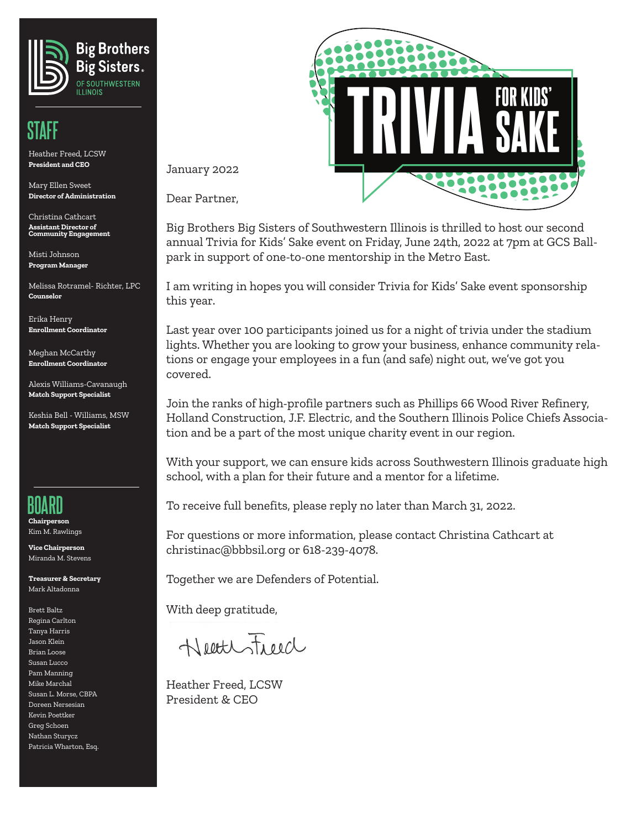

### **STAFF**

Heather Freed, LCSW **President and CEO**

Mary Ellen Sweet **Director of Administration**

Christina Cathcart **Assistant Director of Community Engagement** 

Misti Johnson **Program Manager**

Melissa Rotramel- Richter, LPC **Counselor**

Erika Henry **Enrollment Coordinator**

Meghan McCarthy **Enrollment Coordinator**

Alexis Williams-Cavanaugh **Match Support Specialist**

Keshia Bell - Williams, MSW **Match Support Specialist**



**Chairperson** Kim M. Rawlings

**Vice Chairperson** Miranda M. Stevens

**Treasurer & Secretary** Mark Altadonna

Brett Baltz Regina Carlton Tanya Harris Jason Klein Brian Loose Susan Lucco Pam Manning Mike Marchal Susan L. Morse, CBPA Doreen Nersesian Kevin Poettker Greg Schoen Nathan Sturycz Patricia Wharton, Esq.



January 2022

Dear Partner,

Big Brothers Big Sisters of Southwestern Illinois is thrilled to host our second annual Trivia for Kids' Sake event on Friday, June 24th, 2022 at 7pm at GCS Ballpark in support of one-to-one mentorship in the Metro East.

I am writing in hopes you will consider Trivia for Kids' Sake event sponsorship this year.

Last year over 100 participants joined us for a night of trivia under the stadium lights. Whether you are looking to grow your business, enhance community relations or engage your employees in a fun (and safe) night out, we've got you covered.

Join the ranks of high-profile partners such as Phillips 66 Wood River Refinery, Holland Construction, J.F. Electric, and the Southern Illinois Police Chiefs Association and be a part of the most unique charity event in our region.

With your support, we can ensure kids across Southwestern Illinois graduate high school, with a plan for their future and a mentor for a lifetime.

To receive full benefits, please reply no later than March 31, 2022.

For questions or more information, please contact Christina Cathcart at christinac@bbbsil.org or 618-239-4078.

Together we are Defenders of Potential.

With deep gratitude,

Neathfield

Heather Freed, LCSW President & CEO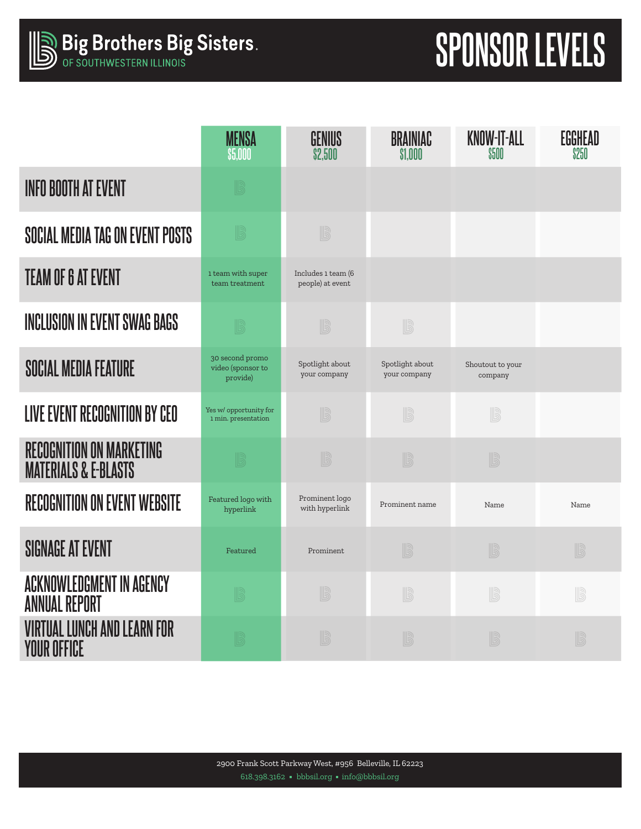# **SPONSOR LEVELS**

|                                                                    | <b>MENSA</b><br>\$5,000                          | GENIUS<br>\$2,500                      | <b>BRAINIAC</b><br>\$1.000      | <b>KNOW-IT-ALL</b><br><b>\$500</b> | <b>EGGHEAD</b><br>\$250 |
|--------------------------------------------------------------------|--------------------------------------------------|----------------------------------------|---------------------------------|------------------------------------|-------------------------|
| <b>INFO BOOTH AT EVENT</b>                                         | B                                                |                                        |                                 |                                    |                         |
| SOCIAL MEDIA TAG ON EVENT POSTS                                    | B                                                | B                                      |                                 |                                    |                         |
| <b>TEAM OF 6 AT EVENT</b>                                          | 1 team with super<br>team treatment              | Includes 1 team (6<br>people) at event |                                 |                                    |                         |
| <b>INCLUSION IN EVENT SWAG BAGS</b>                                | B                                                | B                                      | B                               |                                    |                         |
| <b>SOCIAL MEDIA FEATURE</b>                                        | 30 second promo<br>video (sponsor to<br>provide) | Spotlight about<br>your company        | Spotlight about<br>your company | Shoutout to your<br>company        |                         |
| LIVE EVENT RECOGNITION BY CEO                                      | Yes w/ opportunity for<br>1 min. presentation    | B                                      | B                               | B                                  |                         |
| <b>RECOGNITION ON MARKETING</b><br><b>MATERIALS &amp; E-BLASTS</b> | B                                                | B                                      | B                               | B                                  |                         |
| <b>RECOGNITION ON EVENT WEBSITE</b>                                | Featured logo with<br>hyperlink                  | Prominent logo<br>with hyperlink       | Prominent name                  | Name                               | Name                    |
| <b>SIGNAGE AT EVENT</b>                                            | Featured                                         | Prominent                              | B                               | $\mathbb{B}$                       | B                       |
| <b>ACKNOWLEDGMENT IN AGENCY</b><br><b>ANNUAL REPORT</b>            | B                                                | B                                      | B                               | B                                  | B                       |
| <b>VIRTUAL LUNCH AND LEARN FOR</b><br><b>YOUR OFFICE</b>           |                                                  | B                                      | B                               | B                                  | B                       |